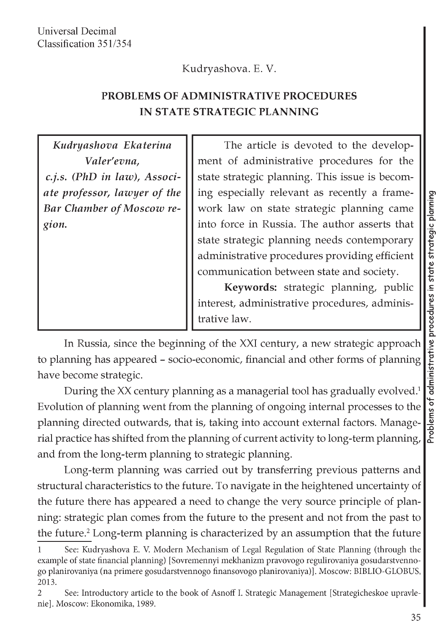## Kudryashova. E. V.

## **PROBLEMS OF ADMINISTRATIVE PROCEDURES IN STATE STRATEGIC PLANNING**

| Kudryashova Ekaterina            | The article is devoted to the develop-         |
|----------------------------------|------------------------------------------------|
| Valer'evna,                      | ment of administrative procedures for the      |
| c.j.s. (PhD in law), Associ-     | state strategic planning. This issue is becom- |
| ate professor, lawyer of the     | ing especially relevant as recently a frame-   |
| <b>Bar Chamber of Moscow re-</b> | work law on state strategic planning came      |
| gion.                            | into force in Russia. The author asserts that  |
|                                  | state strategic planning needs contemporary    |
|                                  | administrative procedures providing efficient  |
|                                  | communication between state and society.       |
|                                  | Keywords: strategic planning, public           |
|                                  | interest, administrative procedures, adminis-  |
|                                  | trative law.                                   |

In Russia, since the beginning of the XXI century, a new strategic approach to planning has appeared - socio-economic, financial and other forms of planning have become strategic.

During the XX century planning as a managerial tool has gradually evolved.1 Evolution of planning went from the planning of ongoing internal processes to the planning directed outwards, that is, taking into account external factors. Managerial practice has shifted from the planning of current activity to long-term planning, and from the long-term planning to strategic planning.

Long-term planning was carried out by transferring previous patterns and structural characteristics to the future. To navigate in the heightened uncertainty of the future there has appeared a need to change the very source principle of planning: strategic plan comes from the future to the present and not from the past to the future.<sup>2</sup> Long-term planning is characterized by an assumption that the future

**<sup>1</sup> See: Kudryashova E. V. Modern Mechanism of Legal Regulation of State Planning (through the example of state financial planning) [Sovremennyi mekhanizm pravovogo regulirovaniya gosudarstvennogo planirovaniya (na primere gosudarstvennogo finansovogo planirovaniya)]. Moscow: BIBLIO-GLOBUS, 2013.**

**<sup>2</sup> See: Introductory article to the book of Asnoff I. Strategic Management [Strategicheskoe upravlenie]. Moscow: Ekonomika, 1989.**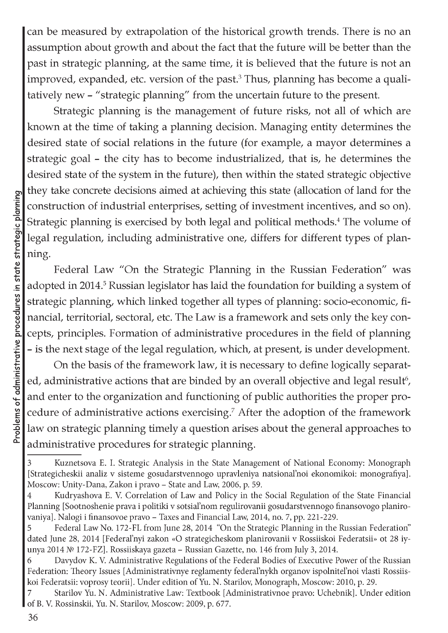can be measured by extrapolation of the historical growth trends. There is no an assumption about growth and about the fact that the future will be better than the past in strategic planning, at the same time, it is believed that the future is not an improved, expanded, etc. version of the past.<sup>3</sup> Thus, planning has become a qualitatively new - "strategic planning" from the uncertain future to the present.

Strategic planning is the management of future risks, not all of which are known at the time of taking a planning decision. Managing entity determines the desired state of social relations in the future (for example, a mayor determines a strategic goal - the city has to become industrialized, that is, he determines the desired state of the system in the future), then within the stated strategic objective they take concrete decisions aimed at achieving this state (allocation of land for the construction of industrial enterprises, setting of investment incentives, and so on). Strategic planning is exercised by both legal and political methods.<sup>4</sup> The volume of legal regulation, including administrative one, differs for different types of planning.

Federal Law "On the Strategic Planning in the Russian Federation" was adopted in 2014.<sup>5</sup> Russian legislator has laid the foundation for building a system of strategic planning, which linked together all types of planning: socio-economic, financial, territorial, sectoral, etc. The Law is a framework and sets only the key concepts, principles. Formation of administrative procedures in the field of planning - is the next stage of the legal regulation, which, at present, is under development.

On the basis of the framework law, it is necessary to define logically separated, administrative actions that are binded by an overall objective and legal result<sup>6</sup>, and enter to the organization and functioning of public authorities the proper procedure of administrative actions exercising.7 After the adoption of the framework law on strategic planning timely a question arises about the general approaches to administrative procedures for strategic planning.

**<sup>3</sup> Kuznetsova E. I. Strategic Analysis in the State Management of National Economy: Monograph [Strategicheskii analiz v sisteme gosudarstvennogo upravleniya natsional'noi ekonomikoi: monografiya]. Moscow: Unity-Dana, Zakon i pravo - State and Law, 2006, p. 59.**

**<sup>4</sup> Kudryashova E. V. Correlation of Law and Policy in the Social Regulation of the State Financial Planning [Sootnoshenie prava i politiki v sotsial'nom regulirovanii gosudarstvennogo finansovogo planirovaniya]. Nalogi i finansovoe pravo - Taxes and Financial Law, 2014, no. 7, pp. 221-229.**

**<sup>5</sup> Federal Law No. 172-FL from June 28, 2014 "On the Strategic Planning in the Russian Federation" dated June 28, 2014 [Federal'nyi zakon «O strategicheskom planirovanii v Rossiiskoi Federatsii» ot 28 iy**unya 2014 № 172-FZ]. Rossiiskaya gazeta – Russian Gazette, no. 146 from July 3, 2014.

**<sup>6</sup> Davydov K. V. Administrative Regulations of the Federal Bodies of Executive Power of the Russian Federation: Theory Issues [Administrativnye reglamenty federal'nykh organov ispolnitel'noi vlasti Rossiiskoi Federatsii: voprosy teorii]. Under edition of Yu. N. Starilov, Monograph, Moscow: 2010, p. 29.**

**<sup>7</sup> Starilov Yu. N. Administrative Law: Textbook [Administrativnoe pravo: Uchebnik]. Under edition of B. V. Rossinskii, Yu. N. Starilov, Moscow: 2009, p. 677.**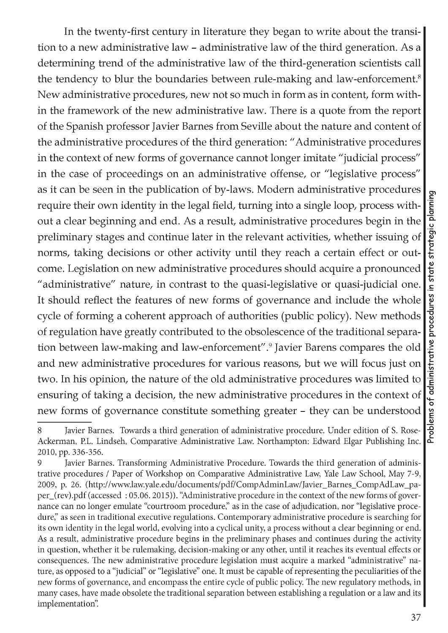In the twenty-first century in literature they began to write about the transition to a new administrative law - administrative law of the third generation. As a determining trend of the administrative law of the third-generation scientists call the tendency to blur the boundaries between rule-making and law-enforcement.<sup>8</sup> New administrative procedures, new not so much in form as in content, form within the framework of the new administrative law. There is a quote from the report of the Spanish professor Javier Barnes from Seville about the nature and content of the administrative procedures of the third generation: "Administrative procedures in the context of new forms of governance cannot longer imitate "judicial process" in the case of proceedings on an administrative offense, or "legislative process" as it can be seen in the publication of by-laws. Modern administrative procedures require their own identity in the legal field, turning into a single loop, process without a clear beginning and end. As a result, administrative procedures begin in the preliminary stages and continue later in the relevant activities, whether issuing of norms, taking decisions or other activity until they reach a certain effect or outcome. Legislation on new administrative procedures should acquire a pronounced "administrative" nature, in contrast to the quasi-legislative or quasi-judicial one. It should reflect the features of new forms of governance and include the whole cycle of forming a coherent approach of authorities (public policy). New methods of regulation have greatly contributed to the obsolescence of the traditional separation between law-making and law-enforcement".9 Javier Barens compares the old and new administrative procedures for various reasons, but we will focus just on two. In his opinion, the nature of the old administrative procedures was limited to ensuring of taking a decision, the new administrative procedures in the context of new forms of governance constitute something greater - they can be understood

**<sup>8</sup> Javier Barnes. Towards a third generation of administrative procedure. Under edition of S. Rose-Ackerman, P.L. Lindseh, Comparative Administrative Law. Northampton: Edward Elgar Publishing Inc. 2010, pp. 336-356.**

**<sup>9</sup> Javier Barnes. Transforming Administrative Procedure. Towards the third generation of administrative procedures / Paper of Workshop on Comparative Administrative Law, Yale Law School, May 7-9, 2009, p. 26. ([http://www.law.yale.edu/documents/pdf/CompAdminLaw/Javier\\_Barnes\\_CompAdLaw\\_pa](http://www.law.yale.edu/documents/pdf/CompAdminLaw/Javier_Barnes_CompAdLaw_pa-)per\_(rev).pdf (accessed : 05.06. 2015)). "Administrative procedure in the context of the new forms of governance can no longer emulate "courtroom procedure," as in the case of adjudication, nor "legislative procedure," as seen in traditional executive regulations. Contemporary administrative procedure is searching for its own identity in the legal world, evolving into a cyclical unity, a process without a clear beginning or end. As a result, administrative procedure begins in the preliminary phases and continues during the activity in question, whether it be rulemaking, decision-making or any other, until it reaches its eventual effects or consequences. The new administrative procedure legislation must acquire a marked "administrative" nature, as opposed to a "judicial" or "legislative" one. It must be capable of representing the peculiarities of the new forms of governance, and encompass the entire cycle of public policy. The new regulatory methods, in many cases, have made obsolete the traditional separation between establishing a regulation or a law and its implementation".**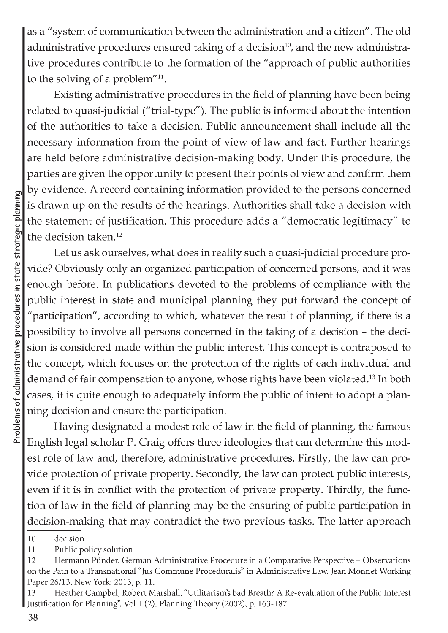as a "system of communication between the administration and a citizen". The old administrative procedures ensured taking of a decision<sup>10</sup>, and the new administrative procedures contribute to the formation of the "approach of public authorities to the solving of a problem"11.

Existing administrative procedures in the field of planning have been being related to quasi-judicial ("trial-type"). The public is informed about the intention of the authorities to take a decision. Public announcement shall include all the necessary information from the point of view of law and fact. Further hearings are held before administrative decision-making body. Under this procedure, the parties are given the opportunity to present their points of view and confirm them by evidence. A record containing information provided to the persons concerned is drawn up on the results of the hearings. Authorities shall take a decision with the statement of justification. This procedure adds a "democratic legitimacy" to the decision taken.12

Let us ask ourselves, what does in reality such a quasi-judicial procedure provide? Obviously only an organized participation of concerned persons, and it was enough before. In publications devoted to the problems of compliance with the public interest in state and municipal planning they put forward the concept of "participation", according to which, whatever the result of planning, if there is a possibility to involve all persons concerned in the taking of a decision - the decision is considered made within the public interest. This concept is contraposed to the concept, which focuses on the protection of the rights of each individual and demand of fair compensation to anyone, whose rights have been violated.13 In both cases, it is quite enough to adequately inform the public of intent to adopt a planning decision and ensure the participation.

Having designated a modest role of law in the field of planning, the famous English legal scholar P. Craig offers three ideologies that can determine this modest role of law and, therefore, administrative procedures. Firstly, the law can provide protection of private property. Secondly, the law can protect public interests, even if it is in conflict with the protection of private property. Thirdly, the function of law in the field of planning may be the ensuring of public participation in decision-making that may contradict the two previous tasks. The latter approach

**<sup>10</sup> decision**

**<sup>11</sup> Public policy solution**

**<sup>12</sup> Hermann Punder. German Administrative Procedure in a Comparative Perspective - Observations on the Path to a Transnational "Jus Commune Proceduralis" in Administrative Law. Jean Monnet Working Paper 26/13, New York: 2013, p. 11.**

**<sup>13</sup> Heather Campbel, Robert Marshall. "Utilitarism's bad Breath? A Re-evaluation of the Public Interest Justification for Planning", Vol 1 (2). Planning Theory (2002), p. 163-187.**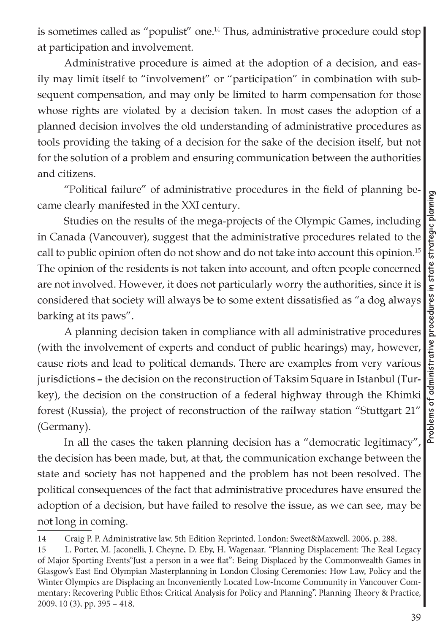is sometimes called as "populist" one.14 Thus, administrative procedure could stop at participation and involvement.

Administrative procedure is aimed at the adoption of a decision, and easily may limit itself to "involvement" or "participation" in combination with subsequent compensation, and may only be limited to harm compensation for those whose rights are violated by a decision taken. In most cases the adoption of a planned decision involves the old understanding of administrative procedures as tools providing the taking of a decision for the sake of the decision itself, but not for the solution of a problem and ensuring communication between the authorities and citizens.

"Political failure" of administrative procedures in the field of planning became clearly manifested in the XXI century.

Studies on the results of the mega-projects of the Olympic Games, including in Canada (Vancouver), suggest that the administrative procedures related to the call to public opinion often do not show and do not take into account this opinion.15 The opinion of the residents is not taken into account, and often people concerned are not involved. However, it does not particularly worry the authorities, since it is considered that society will always be to some extent dissatisfied as "a dog always barking at its paws".

A planning decision taken in compliance with all administrative procedures (with the involvement of experts and conduct of public hearings) may, however, cause riots and lead to political demands. There are examples from very various jurisdictions - the decision on the reconstruction of Taksim Square in Istanbul (Turkey), the decision on the construction of a federal highway through the Khimki forest (Russia), the project of reconstruction of the railway station "Stuttgart 21" (Germany).

In all the cases the taken planning decision has a "democratic legitimacy" the decision has been made, but, at that, the communication exchange between the state and society has not happened and the problem has not been resolved. The political consequences of the fact that administrative procedures have ensured the adoption of a decision, but have failed to resolve the issue, as we can see, may be not long in coming.

**<sup>14</sup> Craig P. P. Administrative law. 5th Edition Reprinted. London: Sweet&Maxwell, 2006, p. 288.**

**<sup>15</sup> L. Porter, M. Jaconelli, J. Cheyne, D. Eby, H. Wagenaar. "Planning Displacement: The Real Legacy of Major Sporting Events"Just a person in a wee flat": Being Displaced by the Commonwealth Games in Glasgow's East End Olympian Masterplanning in London Closing Ceremonies: How Law, Policy and the Winter Olympics are Displacing an Inconveniently Located Low-Income Community in Vancouver Commentary: Recovering Public Ethos: Critical Analysis for Policy and Planning". Planning Theory & Practice, 2009, 10 (3), pp. 395 - 418.**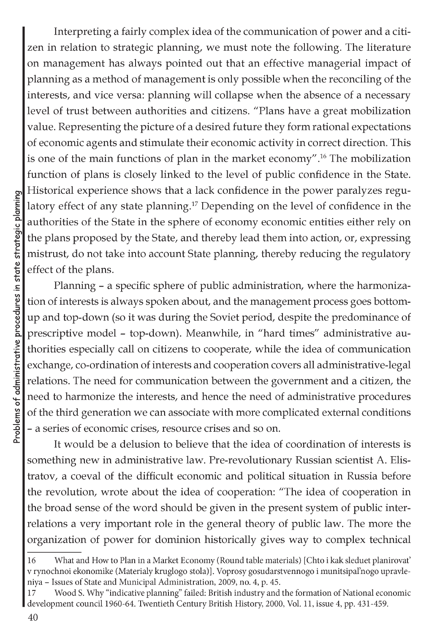Interpreting a fairly complex idea of the communication of power and a citizen in relation to strategic planning, we must note the following. The literature on management has always pointed out that an effective managerial impact of planning as a method of management is only possible when the reconciling of the interests, and vice versa: planning will collapse when the absence of a necessary level of trust between authorities and citizens. "Plans have a great mobilization value. Representing the picture of a desired future they form rational expectations of economic agents and stimulate their economic activity in correct direction. This is one of the main functions of plan in the market economy".16 The mobilization function of plans is closely linked to the level of public confidence in the State. Historical experience shows that a lack confidence in the power paralyzes regulatory effect of any state planning.17 Depending on the level of confidence in the authorities of the State in the sphere of economy economic entities either rely on the plans proposed by the State, and thereby lead them into action, or, expressing mistrust, do not take into account State planning, thereby reducing the regulatory effect of the plans.

Planning - a specific sphere of public administration, where the harmonization of interests is always spoken about, and the management process goes bottomup and top-down (so it was during the Soviet period, despite the predominance of prescriptive model - top-down). Meanwhile, in "hard times" administrative authorities especially call on citizens to cooperate, while the idea of communication exchange, co-ordination of interests and cooperation covers all administrative-legal relations. The need for communication between the government and a citizen, the need to harmonize the interests, and hence the need of administrative procedures of the third generation we can associate with more complicated external conditions - a series of economic crises, resource crises and so on.

It would be a delusion to believe that the idea of coordination of interests is something new in administrative law. Pre-revolutionary Russian scientist A. Elistratov, a coeval of the difficult economic and political situation in Russia before the revolution, wrote about the idea of cooperation: "The idea of cooperation in the broad sense of the word should be given in the present system of public interrelations a very important role in the general theory of public law. The more the organization of power for dominion historically gives way to complex technical

**<sup>16</sup> What and How to Plan in a Market Economy (Round table materials) [Chto i kak sleduet planirovat' v rynochnoi ekonomike (Materialy kruglogo stola)]. Voprosy gosudarstvennogo i munitsipal'nogo upravleniya - Issues of State and Municipal Administration, 2009, no. 4, p. 45.**

**<sup>17</sup> Wood S. Why "indicative planning" failed: British industry and the formation of National economic development council 1960-64. Twentieth Century British History, 2000, Vol. 11, issue 4, pp. 431-459.**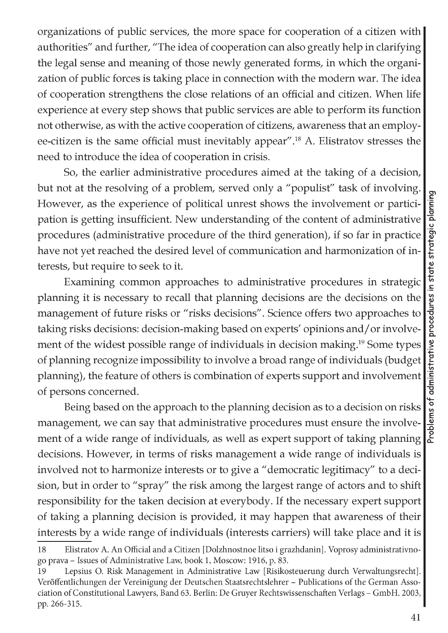organizations of public services, the more space for cooperation of a citizen with authorities" and further, "The idea of cooperation can also greatly help in clarifying the legal sense and meaning of those newly generated forms, in which the organization of public forces is taking place in connection with the modern war. The idea of cooperation strengthens the close relations of an official and citizen. When life experience at every step shows that public services are able to perform its function not otherwise, as with the active cooperation of citizens, awareness that an employee-citizen is the same official must inevitably appear".18 A. Elistratov stresses the need to introduce the idea of cooperation in crisis.

So, the earlier administrative procedures aimed at the taking of a decision, but not at the resolving of a problem, served only a "populist" task of involving. However, as the experience of political unrest shows the involvement or participation is getting insufficient. New understanding of the content of administrative procedures (administrative procedure of the third generation), if so far in practice have not yet reached the desired level of communication and harmonization of interests, but require to seek to it.

Examining common approaches to administrative procedures in strategic planning it is necessary to recall that planning decisions are the decisions on the management of future risks or "risks decisions". Science offers two approaches to taking risks decisions: decision-making based on experts' opinions and/or involvement of the widest possible range of individuals in decision making.<sup>19</sup> Some types of planning recognize impossibility to involve a broad range of individuals (budget planning), the feature of others is combination of experts support and involvement of persons concerned.

Being based on the approach to the planning decision as to a decision on risks management, we can say that administrative procedures must ensure the involvement of a wide range of individuals, as well as expert support of taking planning decisions. However, in terms of risks management a wide range of individuals is involved not to harmonize interests or to give a "democratic legitimacy" to a decision, but in order to "spray" the risk among the largest range of actors and to shift responsibility for the taken decision at everybody. If the necessary expert support of taking a planning decision is provided, it may happen that awareness of their interests by a wide range of individuals (interests carriers) will take place and it is

**<sup>18</sup> Elistratov A. An Official and a Citizen [Dolzhnostnoe litso i grazhdanin]. Voprosy administrativnogo prava - Issues of Administrative Law, book 1, Moscow: 1916, p. 83.**

**<sup>19</sup> Lepsius O. Risk Management in Administrative Law [Risikosteuerung durch Verwaltungsrecht].** Veröffentlichungen der Vereinigung der Deutschen Staatsrechtslehrer - Publications of the German Asso**ciation of Constitutional Lawyers, Band 63. Berlin: De Gruyer Rechtswissenschaften Verlags - GmbH. 2003, pp. 266-315.**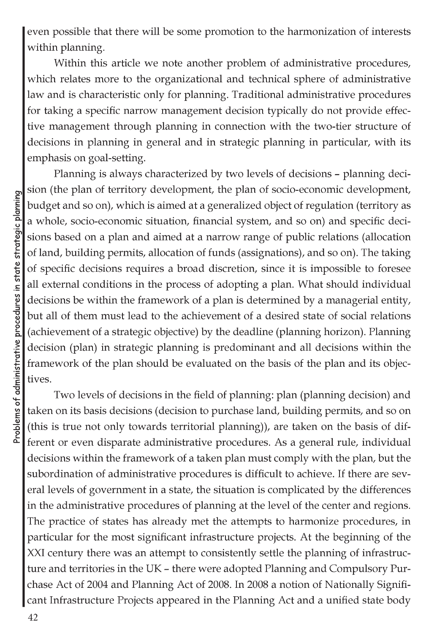even possible that there will be some promotion to the harmonization of interests within planning.

Within this article we note another problem of administrative procedures, which relates more to the organizational and technical sphere of administrative law and is characteristic only for planning. Traditional administrative procedures for taking a specific narrow management decision typically do not provide effective management through planning in connection with the two-tier structure of decisions in planning in general and in strategic planning in particular, with its emphasis on goal-setting.

Planning is always characterized by two levels of decisions - planning decision (the plan of territory development, the plan of socio-economic development, budget and so on), which is aimed at a generalized object of regulation (territory as a whole, socio-economic situation, financial system, and so on) and specific decisions based on a plan and aimed at a narrow range of public relations (allocation of land, building permits, allocation of funds (assignations), and so on). The taking of specific decisions requires a broad discretion, since it is impossible to foresee all external conditions in the process of adopting a plan. What should individual decisions be within the framework of a plan is determined by a managerial entity, but all of them must lead to the achievement of a desired state of social relations (achievement of a strategic objective) by the deadline (planning horizon). Planning decision (plan) in strategic planning is predominant and all decisions within the framework of the plan should be evaluated on the basis of the plan and its objectives.

Two levels of decisions in the field of planning: plan (planning decision) and taken on its basis decisions (decision to purchase land, building permits, and so on (this is true not only towards territorial planning)), are taken on the basis of different or even disparate administrative procedures. As a general rule, individual decisions within the framework of a taken plan must comply with the plan, but the subordination of administrative procedures is difficult to achieve. If there are several levels of government in a state, the situation is complicated by the differences in the administrative procedures of planning at the level of the center and regions. The practice of states has already met the attempts to harmonize procedures, in particular for the most significant infrastructure projects. At the beginning of the XXI century there was an attempt to consistently settle the planning of infrastructure and territories in the UK - there were adopted Planning and Compulsory Purchase Act of 2004 and Planning Act of 2008. In 2008 a notion of Nationally Significant Infrastructure Projects appeared in the Planning Act and a unified state body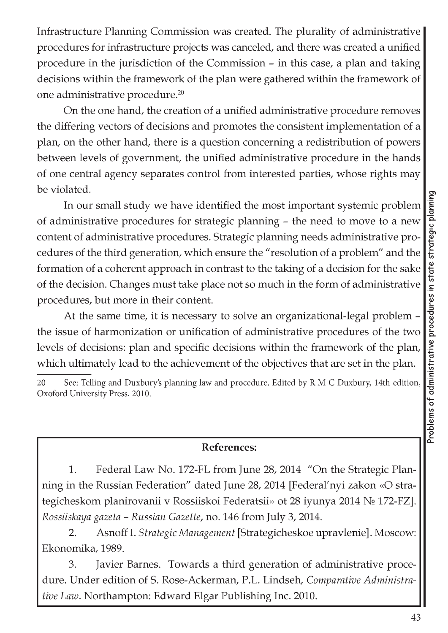Infrastructure Planning Commission was created. The plurality of administrative procedures for infrastructure projects was canceled, and there was created a unified procedure in the jurisdiction of the Commission - in this case, a plan and taking decisions within the framework of the plan were gathered within the framework of one administrative procedure.20

On the one hand, the creation of a unified administrative procedure removes the differing vectors of decisions and promotes the consistent implementation of a plan, on the other hand, there is a question concerning a redistribution of powers between levels of government, the unified administrative procedure in the hands of one central agency separates control from interested parties, whose rights may be violated.

In our small study we have identified the most important systemic problem of administrative procedures for strategic planning - the need to move to a new content of administrative procedures. Strategic planning needs administrative procedures of the third generation, which ensure the "resolution of a problem" and the formation of a coherent approach in contrast to the taking of a decision for the sake of the decision. Changes must take place not so much in the form of administrative procedures, but more in their content.

At the same time, it is necessary to solve an organizational-legal problem the issue of harmonization or unification of administrative procedures of the two levels of decisions: plan and specific decisions within the framework of the plan, which ultimately lead to the achievement of the objectives that are set in the plan.

## **References:**

1. Federal Law No. 172-FL from June 28, 2014 "On the Strategic Planning in the Russian Federation" dated June 28, 2014 [Federal'nyi zakon «O strategicheskom planirovanii v Rossiiskoi Federatsii» ot 28 iyunya 2014 No 172-FZ]. *Rossiiskaya gazeta - Russian Gazette,* no. 146 from July 3, 2014.

2. Asnoff I. *Strategic Management* [Strategicheskoe upravlenie]. Moscow: Ekonomika, 1989.

3. Javier Barnes. Towards a third generation of administrative procedure. Under edition of S. Rose-Ackerman, P.L. Lindseh, *Comparative Administrative Law.* Northampton: Edward Elgar Publishing Inc. 2010.

**<sup>20</sup> See: Telling and Duxbury's planning law and procedure. Edited by R M C Duxbury, 14th edition, Oxoford University Press, 2010.**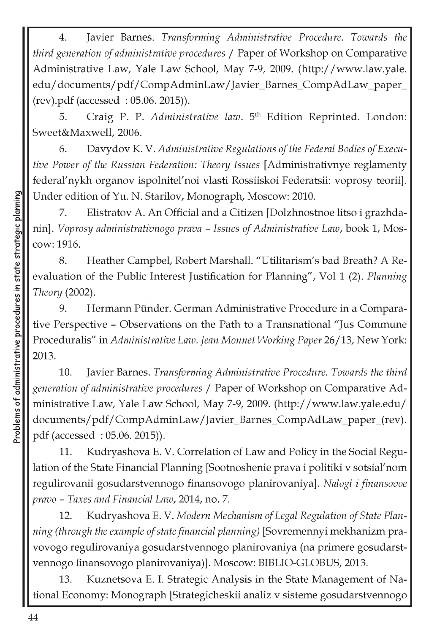4. Javier Barnes. *Transforming Administrative Procedure. Towards the third generation of administrative procedures* / Paper of Workshop on Comparative Administrative Law, Yale Law School, May 7-9, 2009. [\(http://www.law.yale](http://www.law.yale). edu/documents/pdf/CompAdminLaw/Javier\_Barnes\_CompAdLaw\_paper\_ (rev).pdf (accessed : 05.06. 2015)).

5. Craig P. P. *Administrative law*. 5<sup>th</sup> Edition Reprinted. London: Sweet&Maxwell, 2006.

6. Davydov K. V. *Administrative Regulations of the Federal Bodies of Executive Power of the Russian Federation: Theory Issues* [Administrativnye reglamenty federal'nykh organov ispolnitel'noi vlasti Rossiiskoi Federatsii: voprosy teorii]. Under edition of Yu. N. Starilov, Monograph, Moscow: 2010.

7. Elistratov A. An Official and a Citizen [Dolzhnostnoe litso i grazhdanin]. *Voprosy administrativnogo prava - Issues of Administrative Law,* book 1, Moscow: 1916.

8. Heather Campbel, Robert Marshall. "Utilitarism's bad Breath? A Reevaluation of the Public Interest Justification for Planning", Vol 1 (2). *Planning Theory* (2002).

9. Hermann Punder. German Administrative Procedure in a Comparative Perspective - Observations on the Path to a Transnational "Jus Commune Proceduralis" in *Administrative Law. Jean Monnet Working Paper* 26/13, New York: 2013.

10. Javier Barnes. *Transforming Administrative Procedure. Towards the third generation of administrative procedures* / Paper of Workshop on Comparative Administrative Law, Yale Law School, May 7-9, 2009. [\(http://www.law.yale.edu/](http://www.law.yale.edu/)  documents/pdf/CompAdminLaw/Javier\_Barnes\_CompAdLaw\_paper\_(rev). pdf (accessed : 05.06. 2015)).

11. Kudryashova E. V. Correlation of Law and Policy in the Social Regulation of the State Financial Planning [Sootnoshenie prava i politiki v sotsial'nom regulirovanii gosudarstvennogo finansovogo planirovaniya]. *Nalogi i finansovoe pravo - Taxes and Financial Law,* 2014, no. 7.

12. Kudryashova E. V. *Modern Mechanism of Legal Regulation of State Planning (through the example of state financial planning)* [Sovremennyi mekhanizm pravovogo regulirovaniya gosudarstvennogo planirovaniya (na primere gosudarstvennogo finansovogo planirovaniya)]. Moscow: BIBLIO-GLOBUS, 2013.

13. Kuznetsova E. I. Strategic Analysis in the State Management of National Economy: Monograph [Strategicheskii analiz v sisteme gosudarstvennogo